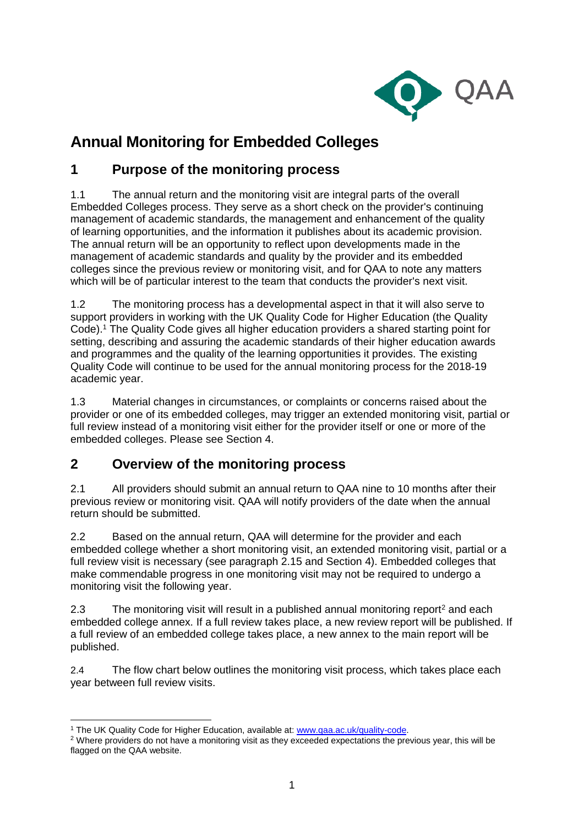

# **Annual Monitoring for Embedded Colleges**

### **1 Purpose of the monitoring process**

1.1 The annual return and the monitoring visit are integral parts of the overall Embedded Colleges process. They serve as a short check on the provider's continuing management of academic standards, the management and enhancement of the quality of learning opportunities, and the information it publishes about its academic provision. The annual return will be an opportunity to reflect upon developments made in the management of academic standards and quality by the provider and its embedded colleges since the previous review or monitoring visit, and for QAA to note any matters which will be of particular interest to the team that conducts the provider's next visit.

1.2 The monitoring process has a developmental aspect in that it will also serve to support providers in working with the UK Quality Code for Higher Education (the Quality Code).<sup>1</sup> The Quality Code gives all higher education providers a shared starting point for setting, describing and assuring the academic standards of their higher education awards and programmes and the quality of the learning opportunities it provides. The existing Quality Code will continue to be used for the annual monitoring process for the 2018-19 academic year.

1.3 Material changes in circumstances, or complaints or concerns raised about the provider or one of its embedded colleges, may trigger an extended monitoring visit, partial or full review instead of a monitoring visit either for the provider itself or one or more of the embedded colleges. Please see Section 4.

## **2 Overview of the monitoring process**

2.1 All providers should submit an annual return to QAA nine to 10 months after their previous review or monitoring visit. QAA will notify providers of the date when the annual return should be submitted.

2.2 Based on the annual return, QAA will determine for the provider and each embedded college whether a short monitoring visit, an extended monitoring visit, partial or a full review visit is necessary (see paragraph 2.15 and Section 4). Embedded colleges that make commendable progress in one monitoring visit may not be required to undergo a monitoring visit the following year.

2.3 The monitoring visit will result in a published annual monitoring report<sup>2</sup> and each embedded college annex. If a full review takes place, a new review report will be published. If a full review of an embedded college takes place, a new annex to the main report will be published.

2.4 The flow chart below outlines the monitoring visit process, which takes place each year between full review visits.

 $\overline{\phantom{a}}$ <sup>1</sup> The UK Quality Code for Higher Education, available at: [www.qaa.ac.uk/quality-code.](http://www.qaa.ac.uk/quality-code)

<sup>&</sup>lt;sup>2</sup> Where providers do not have a monitoring visit as they exceeded expectations the previous year, this will be flagged on the QAA website.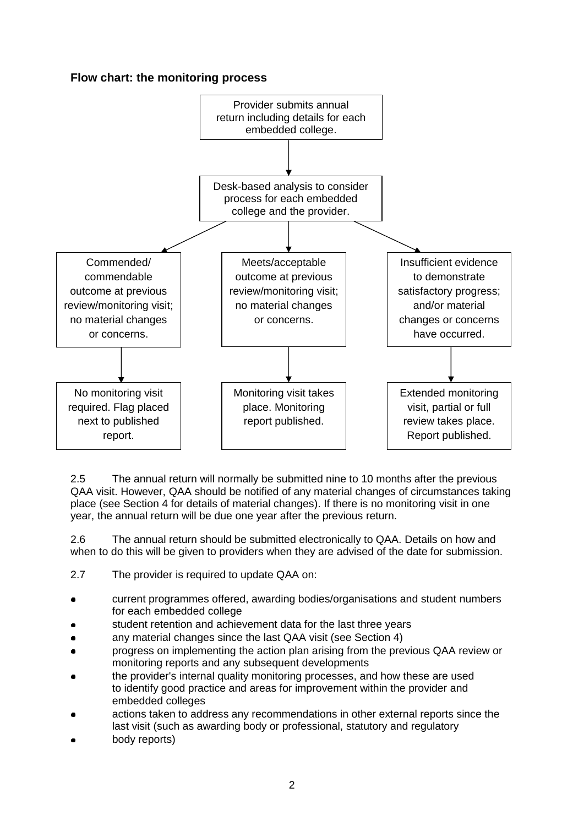#### **Flow chart: the monitoring process**



2.5 The annual return will normally be submitted nine to 10 months after the previous QAA visit. However, QAA should be notified of any material changes of circumstances taking place (see Section 4 for details of material changes). If there is no monitoring visit in one year, the annual return will be due one year after the previous return.

2.6 The annual return should be submitted electronically to QAA. Details on how and when to do this will be given to providers when they are advised of the date for submission.

- 2.7 The provider is required to update QAA on:
- current programmes offered, awarding bodies/organisations and student numbers for each embedded college
- student retention and achievement data for the last three years
- any material changes since the last QAA visit (see Section 4)
- progress on implementing the action plan arising from the previous QAA review or monitoring reports and any subsequent developments
- the provider's internal quality monitoring processes, and how these are used to identify good practice and areas for improvement within the provider and embedded colleges
- actions taken to address any recommendations in other external reports since the last visit (such as awarding body or professional, statutory and regulatory
- body reports)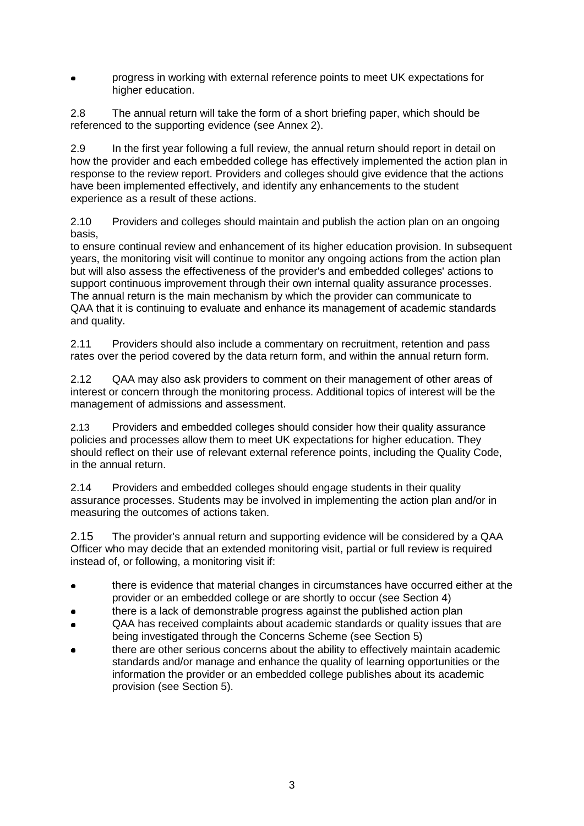progress in working with external reference points to meet UK expectations for higher education.

2.8 The annual return will take the form of a short briefing paper, which should be referenced to the supporting evidence (see Annex 2).

2.9 In the first year following a full review, the annual return should report in detail on how the provider and each embedded college has effectively implemented the action plan in response to the review report. Providers and colleges should give evidence that the actions have been implemented effectively, and identify any enhancements to the student experience as a result of these actions.

2.10 Providers and colleges should maintain and publish the action plan on an ongoing basis,

to ensure continual review and enhancement of its higher education provision. In subsequent years, the monitoring visit will continue to monitor any ongoing actions from the action plan but will also assess the effectiveness of the provider's and embedded colleges' actions to support continuous improvement through their own internal quality assurance processes. The annual return is the main mechanism by which the provider can communicate to QAA that it is continuing to evaluate and enhance its management of academic standards and quality.

2.11 Providers should also include a commentary on recruitment, retention and pass rates over the period covered by the data return form, and within the annual return form.

2.12 QAA may also ask providers to comment on their management of other areas of interest or concern through the monitoring process. Additional topics of interest will be the management of admissions and assessment.

2.13 Providers and embedded colleges should consider how their quality assurance policies and processes allow them to meet UK expectations for higher education. They should reflect on their use of relevant external reference points, including the Quality Code, in the annual return.

2.14 Providers and embedded colleges should engage students in their quality assurance processes. Students may be involved in implementing the action plan and/or in measuring the outcomes of actions taken.

2.15 The provider's annual return and supporting evidence will be considered by a QAA Officer who may decide that an extended monitoring visit, partial or full review is required instead of, or following, a monitoring visit if:

- there is evidence that material changes in circumstances have occurred either at the provider or an embedded college or are shortly to occur (see Section 4)
- there is a lack of demonstrable progress against the published action plan
- QAA has received complaints about academic standards or quality issues that are being investigated through the Concerns Scheme (see Section 5)
- there are other serious concerns about the ability to effectively maintain academic standards and/or manage and enhance the quality of learning opportunities or the information the provider or an embedded college publishes about its academic provision (see Section 5).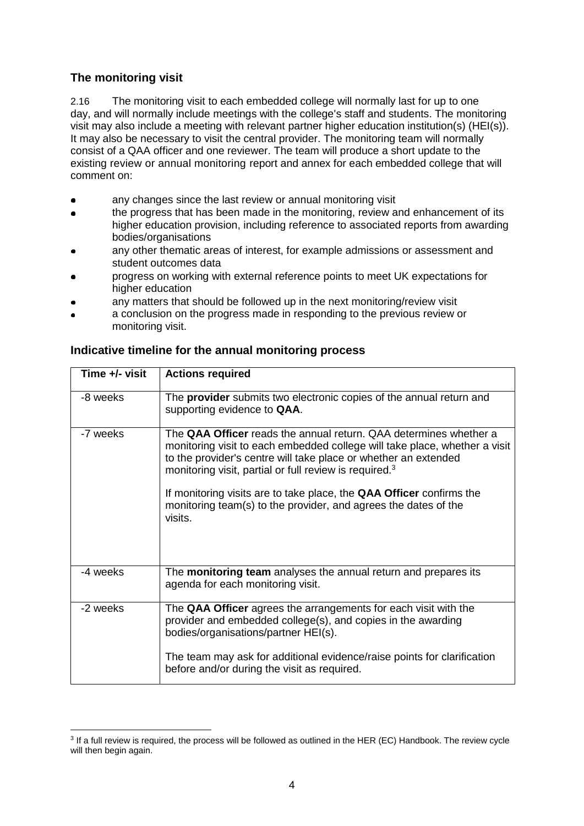#### **The monitoring visit**

2.16 The monitoring visit to each embedded college will normally last for up to one day, and will normally include meetings with the college's staff and students. The monitoring visit may also include a meeting with relevant partner higher education institution(s) (HEI(s)). It may also be necessary to visit the central provider. The monitoring team will normally consist of a QAA officer and one reviewer. The team will produce a short update to the existing review or annual monitoring report and annex for each embedded college that will comment on:

- any changes since the last review or annual monitoring visit
- the progress that has been made in the monitoring, review and enhancement of its higher education provision, including reference to associated reports from awarding bodies/organisations
- any other thematic areas of interest, for example admissions or assessment and student outcomes data
- progress on working with external reference points to meet UK expectations for higher education
- any matters that should be followed up in the next monitoring/review visit
- a conclusion on the progress made in responding to the previous review or monitoring visit.

| Time +/- visit | <b>Actions required</b>                                                                                                                                                                                                                                                                                                                                                                                                                               |
|----------------|-------------------------------------------------------------------------------------------------------------------------------------------------------------------------------------------------------------------------------------------------------------------------------------------------------------------------------------------------------------------------------------------------------------------------------------------------------|
| -8 weeks       | The <b>provider</b> submits two electronic copies of the annual return and<br>supporting evidence to QAA.                                                                                                                                                                                                                                                                                                                                             |
| -7 weeks       | The <b>QAA Officer</b> reads the annual return. QAA determines whether a<br>monitoring visit to each embedded college will take place, whether a visit<br>to the provider's centre will take place or whether an extended<br>monitoring visit, partial or full review is required. <sup>3</sup><br>If monitoring visits are to take place, the QAA Officer confirms the<br>monitoring team(s) to the provider, and agrees the dates of the<br>visits. |
| -4 weeks       | The monitoring team analyses the annual return and prepares its<br>agenda for each monitoring visit.                                                                                                                                                                                                                                                                                                                                                  |
| -2 weeks       | The QAA Officer agrees the arrangements for each visit with the<br>provider and embedded college(s), and copies in the awarding<br>bodies/organisations/partner HEI(s).                                                                                                                                                                                                                                                                               |
|                | The team may ask for additional evidence/raise points for clarification<br>before and/or during the visit as required.                                                                                                                                                                                                                                                                                                                                |

#### **Indicative timeline for the annual monitoring process**

 $\overline{\phantom{a}}$ <sup>3</sup> If a full review is required, the process will be followed as outlined in the HER (EC) Handbook. The review cycle will then begin again.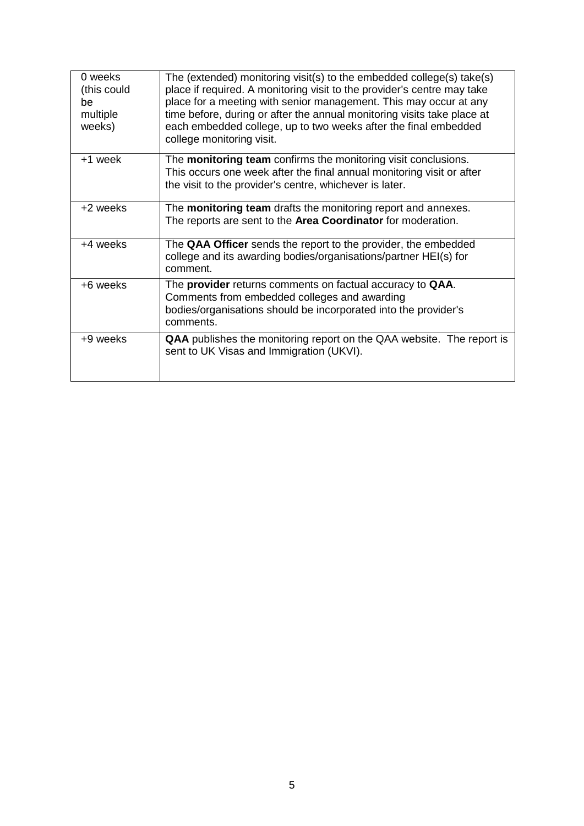| 0 weeks<br>(this could<br>be<br>multiple<br>weeks) | The (extended) monitoring visit(s) to the embedded college(s) take(s)<br>place if required. A monitoring visit to the provider's centre may take<br>place for a meeting with senior management. This may occur at any<br>time before, during or after the annual monitoring visits take place at<br>each embedded college, up to two weeks after the final embedded<br>college monitoring visit. |
|----------------------------------------------------|--------------------------------------------------------------------------------------------------------------------------------------------------------------------------------------------------------------------------------------------------------------------------------------------------------------------------------------------------------------------------------------------------|
| +1 week                                            | The <b>monitoring team</b> confirms the monitoring visit conclusions.<br>This occurs one week after the final annual monitoring visit or after<br>the visit to the provider's centre, whichever is later.                                                                                                                                                                                        |
| +2 weeks                                           | The <b>monitoring team</b> drafts the monitoring report and annexes.<br>The reports are sent to the Area Coordinator for moderation.                                                                                                                                                                                                                                                             |
| +4 weeks                                           | The QAA Officer sends the report to the provider, the embedded<br>college and its awarding bodies/organisations/partner HEI(s) for<br>comment.                                                                                                                                                                                                                                                   |
| +6 weeks                                           | The provider returns comments on factual accuracy to QAA.<br>Comments from embedded colleges and awarding<br>bodies/organisations should be incorporated into the provider's<br>comments.                                                                                                                                                                                                        |
| +9 weeks                                           | QAA publishes the monitoring report on the QAA website. The report is<br>sent to UK Visas and Immigration (UKVI).                                                                                                                                                                                                                                                                                |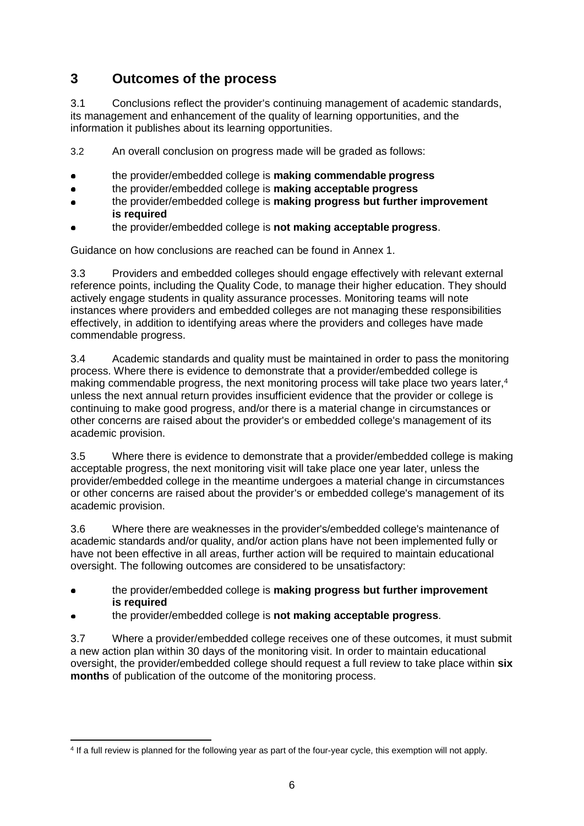# **3 Outcomes of the process**

3.1 Conclusions reflect the provider's continuing management of academic standards, its management and enhancement of the quality of learning opportunities, and the information it publishes about its learning opportunities.

3.2 An overall conclusion on progress made will be graded as follows:

- the provider/embedded college is **making commendable progress**
- the provider/embedded college is **making acceptable progress**
- the provider/embedded college is **making progress but further improvement is required**
- the provider/embedded college is **not making acceptable progress**.

Guidance on how conclusions are reached can be found in Annex 1.

3.3 Providers and embedded colleges should engage effectively with relevant external reference points, including the Quality Code, to manage their higher education. They should actively engage students in quality assurance processes. Monitoring teams will note instances where providers and embedded colleges are not managing these responsibilities effectively, in addition to identifying areas where the providers and colleges have made commendable progress.

3.4 Academic standards and quality must be maintained in order to pass the monitoring process. Where there is evidence to demonstrate that a provider/embedded college is making commendable progress, the next monitoring process will take place two years later, 4 unless the next annual return provides insufficient evidence that the provider or college is continuing to make good progress, and/or there is a material change in circumstances or other concerns are raised about the provider's or embedded college's management of its academic provision.

3.5 Where there is evidence to demonstrate that a provider/embedded college is making acceptable progress, the next monitoring visit will take place one year later, unless the provider/embedded college in the meantime undergoes a material change in circumstances or other concerns are raised about the provider's or embedded college's management of its academic provision.

3.6 Where there are weaknesses in the provider's/embedded college's maintenance of academic standards and/or quality, and/or action plans have not been implemented fully or have not been effective in all areas, further action will be required to maintain educational oversight. The following outcomes are considered to be unsatisfactory:

- the provider/embedded college is **making progress but further improvement is required**
- the provider/embedded college is **not making acceptable progress**.

 $\overline{a}$ 

3.7 Where a provider/embedded college receives one of these outcomes, it must submit a new action plan within 30 days of the monitoring visit. In order to maintain educational oversight, the provider/embedded college should request a full review to take place within **six months** of publication of the outcome of the monitoring process.

<sup>4</sup> If a full review is planned for the following year as part of the four-year cycle, this exemption will not apply.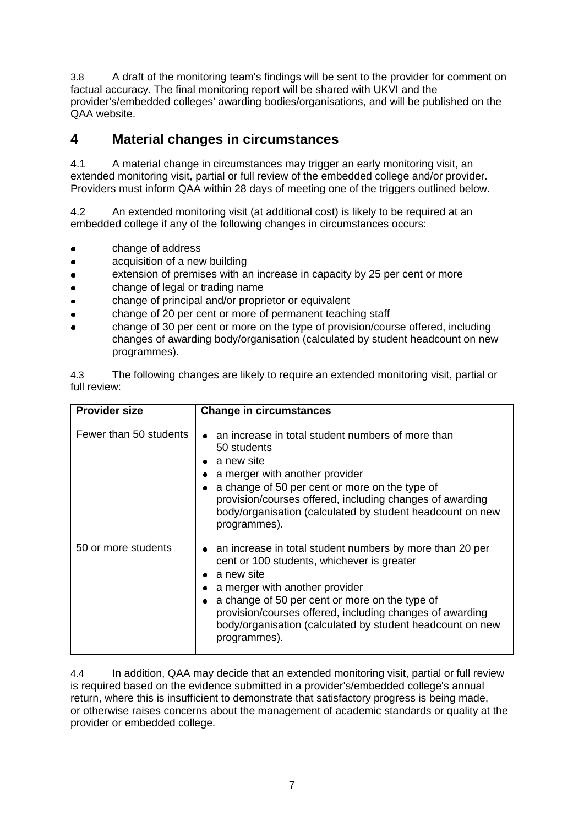3.8 A draft of the monitoring team's findings will be sent to the provider for comment on factual accuracy. The final monitoring report will be shared with UKVI and the provider's/embedded colleges' awarding bodies/organisations, and will be published on the QAA website.

### **4 Material changes in circumstances**

4.1 A material change in circumstances may trigger an early monitoring visit, an extended monitoring visit, partial or full review of the embedded college and/or provider. Providers must inform QAA within 28 days of meeting one of the triggers outlined below.

4.2 An extended monitoring visit (at additional cost) is likely to be required at an embedded college if any of the following changes in circumstances occurs:

- change of address
- acquisition of a new building
- extension of premises with an increase in capacity by 25 per cent or more
- change of legal or trading name
- change of principal and/or proprietor or equivalent
- change of 20 per cent or more of permanent teaching staff
- change of 30 per cent or more on the type of provision/course offered, including changes of awarding body/organisation (calculated by student headcount on new programmes).

4.3 The following changes are likely to require an extended monitoring visit, partial or full review:

| <b>Provider size</b>   | <b>Change in circumstances</b>                                                                                                                                                                                                                                                                                                                      |
|------------------------|-----------------------------------------------------------------------------------------------------------------------------------------------------------------------------------------------------------------------------------------------------------------------------------------------------------------------------------------------------|
| Fewer than 50 students | an increase in total student numbers of more than<br>50 students<br>a new site<br>a merger with another provider<br>a change of 50 per cent or more on the type of<br>provision/courses offered, including changes of awarding<br>body/organisation (calculated by student headcount on new<br>programmes).                                         |
| 50 or more students    | • an increase in total student numbers by more than 20 per<br>cent or 100 students, whichever is greater<br>a new site<br>a merger with another provider<br>a change of 50 per cent or more on the type of<br>provision/courses offered, including changes of awarding<br>body/organisation (calculated by student headcount on new<br>programmes). |

4.4 In addition, QAA may decide that an extended monitoring visit, partial or full review is required based on the evidence submitted in a provider's/embedded college's annual return, where this is insufficient to demonstrate that satisfactory progress is being made, or otherwise raises concerns about the management of academic standards or quality at the provider or embedded college.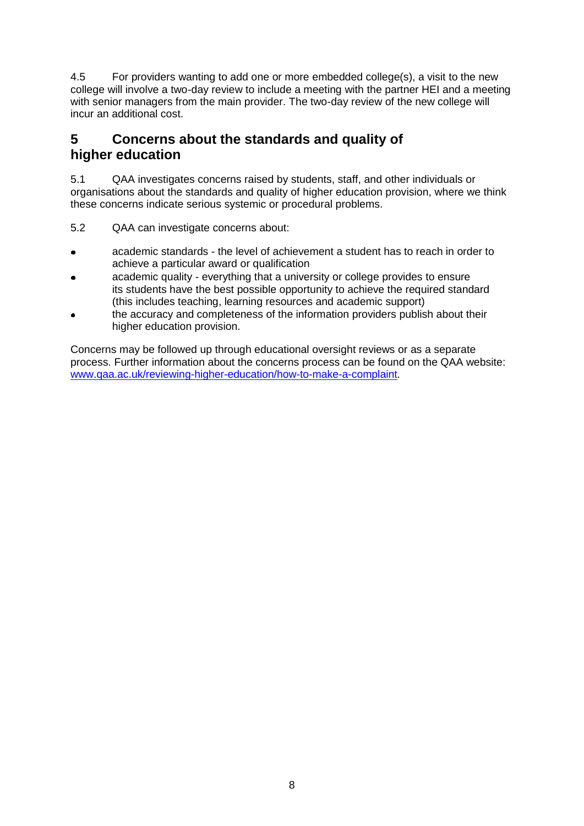4.5 For providers wanting to add one or more embedded college(s), a visit to the new college will involve a two-day review to include a meeting with the partner HEI and a meeting with senior managers from the main provider. The two-day review of the new college will incur an additional cost.

## **5 Concerns about the standards and quality of higher education**

5.1 QAA investigates concerns raised by students, staff, and other individuals or organisations about the standards and quality of higher education provision, where we think these concerns indicate serious systemic or procedural problems.

- 5.2 QAA can investigate concerns about:
- academic standards the level of achievement a student has to reach in order to achieve a particular award or qualification
- academic quality everything that a university or college provides to ensure its students have the best possible opportunity to achieve the required standard (this includes teaching, learning resources and academic support)
- the accuracy and completeness of the information providers publish about their higher education provision.

Concerns may be followed up through educational oversight reviews or as a separate process. Further information about the concerns process can be found on the QAA website: [www.qaa.ac.uk/reviewing-higher-education/how-to-make-a-complaint.](http://www.qaa.ac.uk/reviewing-higher-education/how-to-make-a-complaint)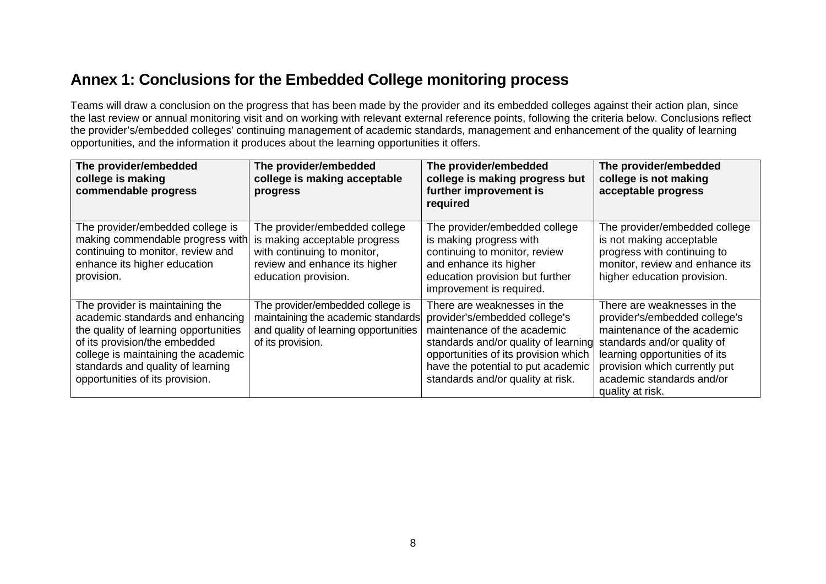# **Annex 1: Conclusions for the Embedded College monitoring process**

Teams will draw a conclusion on the progress that has been made by the provider and its embedded colleges against their action plan, since the last review or annual monitoring visit and on working with relevant external reference points, following the criteria below. Conclusions reflect the provider's/embedded colleges' continuing management of academic standards, management and enhancement of the quality of learning opportunities, and the information it produces about the learning opportunities it offers.

| The provider/embedded<br>college is making<br>commendable progress                                                                                                                                                                                           | The provider/embedded<br>college is making acceptable<br>progress                                                                                      | The provider/embedded<br>college is making progress but<br>further improvement is<br>required                                                                                                                                                          | The provider/embedded<br>college is not making<br>acceptable progress                                                                                                                                                                         |
|--------------------------------------------------------------------------------------------------------------------------------------------------------------------------------------------------------------------------------------------------------------|--------------------------------------------------------------------------------------------------------------------------------------------------------|--------------------------------------------------------------------------------------------------------------------------------------------------------------------------------------------------------------------------------------------------------|-----------------------------------------------------------------------------------------------------------------------------------------------------------------------------------------------------------------------------------------------|
| The provider/embedded college is<br>making commendable progress with<br>continuing to monitor, review and<br>enhance its higher education<br>provision.                                                                                                      | The provider/embedded college<br>is making acceptable progress<br>with continuing to monitor,<br>review and enhance its higher<br>education provision. | The provider/embedded college<br>is making progress with<br>continuing to monitor, review<br>and enhance its higher<br>education provision but further<br>improvement is required.                                                                     | The provider/embedded college<br>is not making acceptable<br>progress with continuing to<br>monitor, review and enhance its<br>higher education provision.                                                                                    |
| The provider is maintaining the<br>academic standards and enhancing<br>the quality of learning opportunities<br>of its provision/the embedded<br>college is maintaining the academic<br>standards and quality of learning<br>opportunities of its provision. | The provider/embedded college is<br>maintaining the academic standards<br>and quality of learning opportunities<br>of its provision.                   | There are weaknesses in the<br>provider's/embedded college's<br>maintenance of the academic<br>standards and/or quality of learning<br>opportunities of its provision which<br>have the potential to put academic<br>standards and/or quality at risk. | There are weaknesses in the<br>provider's/embedded college's<br>maintenance of the academic<br>standards and/or quality of<br>learning opportunities of its<br>provision which currently put<br>academic standards and/or<br>quality at risk. |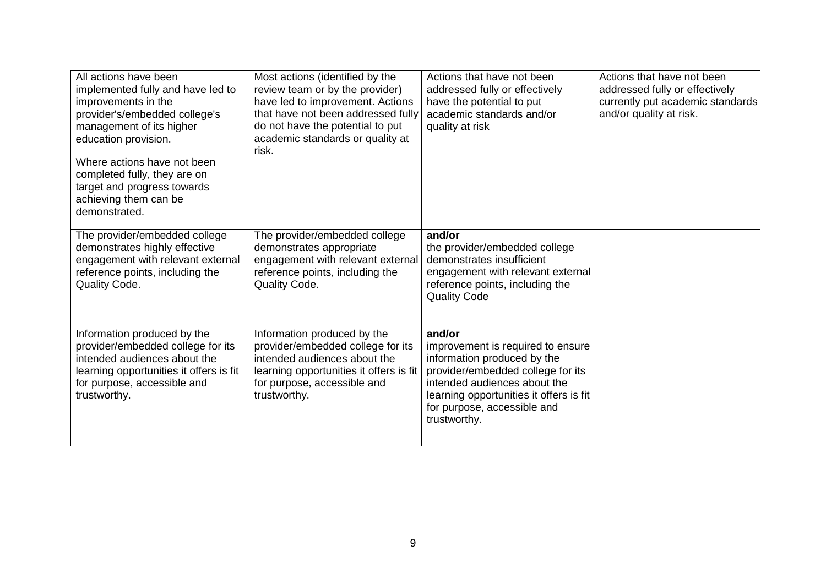| All actions have been<br>implemented fully and have led to<br>improvements in the<br>provider's/embedded college's<br>management of its higher<br>education provision.<br>Where actions have not been<br>completed fully, they are on<br>target and progress towards<br>achieving them can be<br>demonstrated. | Most actions (identified by the<br>review team or by the provider)<br>have led to improvement. Actions<br>that have not been addressed fully<br>do not have the potential to put<br>academic standards or quality at<br>risk. | Actions that have not been<br>addressed fully or effectively<br>have the potential to put<br>academic standards and/or<br>quality at risk                                                                                                 | Actions that have not been<br>addressed fully or effectively<br>currently put academic standards<br>and/or quality at risk. |
|----------------------------------------------------------------------------------------------------------------------------------------------------------------------------------------------------------------------------------------------------------------------------------------------------------------|-------------------------------------------------------------------------------------------------------------------------------------------------------------------------------------------------------------------------------|-------------------------------------------------------------------------------------------------------------------------------------------------------------------------------------------------------------------------------------------|-----------------------------------------------------------------------------------------------------------------------------|
| The provider/embedded college<br>demonstrates highly effective<br>engagement with relevant external<br>reference points, including the<br>Quality Code.                                                                                                                                                        | The provider/embedded college<br>demonstrates appropriate<br>engagement with relevant external<br>reference points, including the<br>Quality Code.                                                                            | and/or<br>the provider/embedded college<br>demonstrates insufficient<br>engagement with relevant external<br>reference points, including the<br><b>Quality Code</b>                                                                       |                                                                                                                             |
| Information produced by the<br>provider/embedded college for its<br>intended audiences about the<br>learning opportunities it offers is fit<br>for purpose, accessible and<br>trustworthy.                                                                                                                     | Information produced by the<br>provider/embedded college for its<br>intended audiences about the<br>learning opportunities it offers is fit<br>for purpose, accessible and<br>trustworthy.                                    | and/or<br>improvement is required to ensure<br>information produced by the<br>provider/embedded college for its<br>intended audiences about the<br>learning opportunities it offers is fit<br>for purpose, accessible and<br>trustworthy. |                                                                                                                             |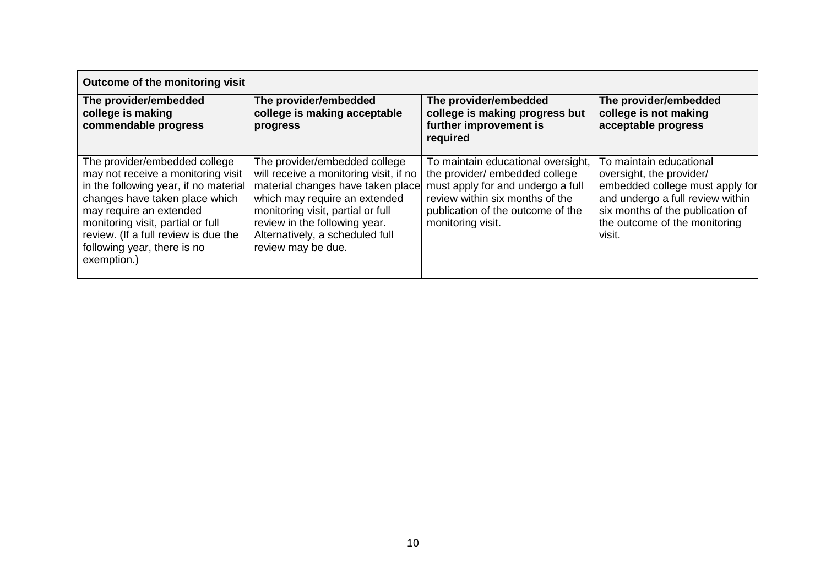| Outcome of the monitoring visit                                                                                                                                                                                                                                                                      |                                                                                                                                                                                                                                                                              |                                                                                                                                                                                                        |                                                                                                                                                                                                           |  |
|------------------------------------------------------------------------------------------------------------------------------------------------------------------------------------------------------------------------------------------------------------------------------------------------------|------------------------------------------------------------------------------------------------------------------------------------------------------------------------------------------------------------------------------------------------------------------------------|--------------------------------------------------------------------------------------------------------------------------------------------------------------------------------------------------------|-----------------------------------------------------------------------------------------------------------------------------------------------------------------------------------------------------------|--|
| The provider/embedded<br>college is making<br>commendable progress                                                                                                                                                                                                                                   | The provider/embedded<br>college is making acceptable<br>progress                                                                                                                                                                                                            | The provider/embedded<br>college is making progress but<br>further improvement is<br>required                                                                                                          | The provider/embedded<br>college is not making<br>acceptable progress                                                                                                                                     |  |
| The provider/embedded college<br>may not receive a monitoring visit<br>in the following year, if no material<br>changes have taken place which<br>may require an extended<br>monitoring visit, partial or full<br>review. (If a full review is due the<br>following year, there is no<br>exemption.) | The provider/embedded college<br>will receive a monitoring visit, if no<br>material changes have taken place<br>which may require an extended<br>monitoring visit, partial or full<br>review in the following year.<br>Alternatively, a scheduled full<br>review may be due. | To maintain educational oversight,<br>the provider/ embedded college<br>must apply for and undergo a full<br>review within six months of the<br>publication of the outcome of the<br>monitoring visit. | To maintain educational<br>oversight, the provider/<br>embedded college must apply for<br>and undergo a full review within<br>six months of the publication of<br>the outcome of the monitoring<br>visit. |  |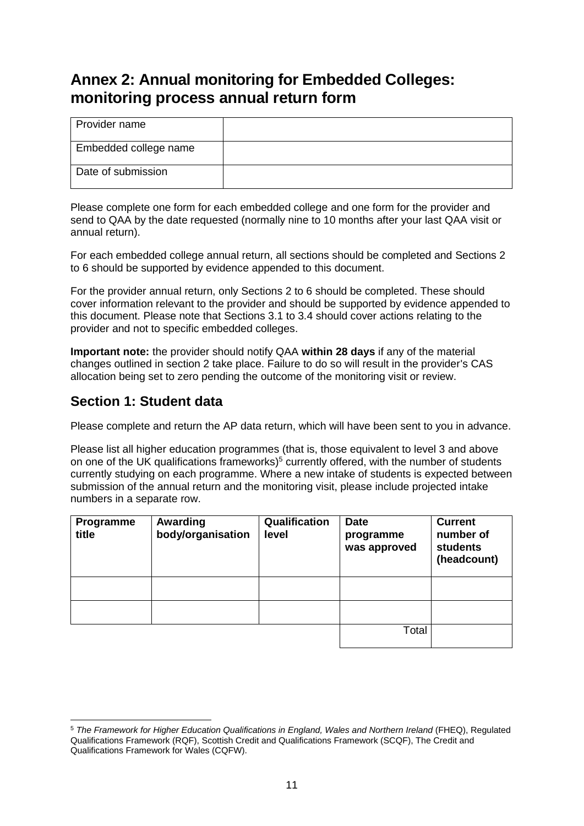# **Annex 2: Annual monitoring for Embedded Colleges: monitoring process annual return form**

| Provider name         |  |
|-----------------------|--|
| Embedded college name |  |
| Date of submission    |  |

Please complete one form for each embedded college and one form for the provider and send to QAA by the date requested (normally nine to 10 months after your last QAA visit or annual return).

For each embedded college annual return, all sections should be completed and Sections 2 to 6 should be supported by evidence appended to this document.

For the provider annual return, only Sections 2 to 6 should be completed. These should cover information relevant to the provider and should be supported by evidence appended to this document. Please note that Sections 3.1 to 3.4 should cover actions relating to the provider and not to specific embedded colleges.

**Important note:** the provider should notify QAA **within 28 days** if any of the material changes outlined in section 2 take place. Failure to do so will result in the provider's CAS allocation being set to zero pending the outcome of the monitoring visit or review.

## **Section 1: Student data**

Please complete and return the AP data return, which will have been sent to you in advance.

Please list all higher education programmes (that is, those equivalent to level 3 and above on one of the UK qualifications frameworks)<sup>5</sup> currently offered, with the number of students currently studying on each programme. Where a new intake of students is expected between submission of the annual return and the monitoring visit, please include projected intake numbers in a separate row.

| Programme<br>title | Awarding<br>body/organisation | Qualification<br>level | <b>Date</b><br>programme<br>was approved | <b>Current</b><br>number of<br><b>students</b><br>(headcount) |
|--------------------|-------------------------------|------------------------|------------------------------------------|---------------------------------------------------------------|
|                    |                               |                        |                                          |                                                               |
|                    |                               |                        |                                          |                                                               |
|                    |                               |                        | Total                                    |                                                               |

 $\overline{\phantom{a}}$ <sup>5</sup> *The Framework for Higher Education Qualifications in England, Wales and Northern Ireland* (FHEQ), Regulated Qualifications Framework (RQF), Scottish Credit and Qualifications Framework (SCQF), The Credit and Qualifications Framework for Wales (CQFW).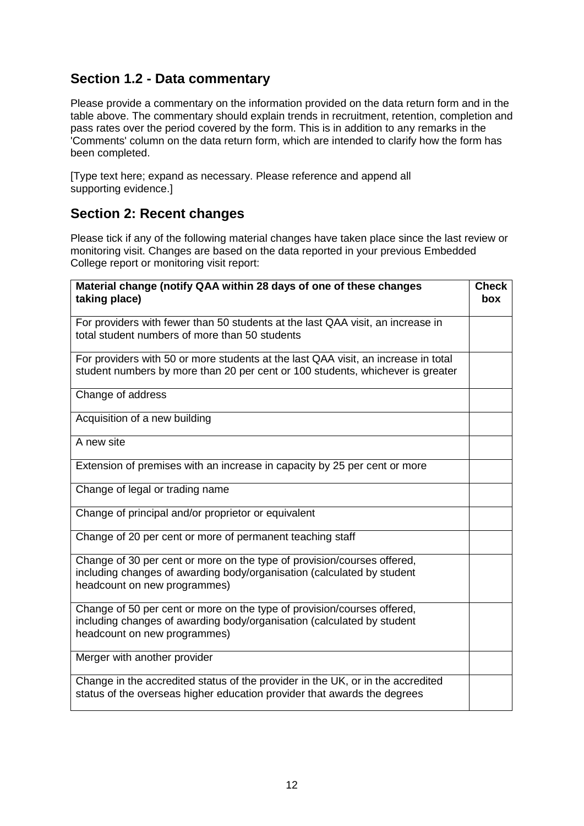# **Section 1.2 - Data commentary**

Please provide a commentary on the information provided on the data return form and in the table above. The commentary should explain trends in recruitment, retention, completion and pass rates over the period covered by the form. This is in addition to any remarks in the 'Comments' column on the data return form, which are intended to clarify how the form has been completed.

[Type text here; expand as necessary. Please reference and append all supporting evidence.]

### **Section 2: Recent changes**

Please tick if any of the following material changes have taken place since the last review or monitoring visit. Changes are based on the data reported in your previous Embedded College report or monitoring visit report:

| Material change (notify QAA within 28 days of one of these changes<br>taking place)                                                                                               | <b>Check</b><br><b>box</b> |
|-----------------------------------------------------------------------------------------------------------------------------------------------------------------------------------|----------------------------|
| For providers with fewer than 50 students at the last QAA visit, an increase in<br>total student numbers of more than 50 students                                                 |                            |
| For providers with 50 or more students at the last QAA visit, an increase in total<br>student numbers by more than 20 per cent or 100 students, whichever is greater              |                            |
| Change of address                                                                                                                                                                 |                            |
| Acquisition of a new building                                                                                                                                                     |                            |
| A new site                                                                                                                                                                        |                            |
| Extension of premises with an increase in capacity by 25 per cent or more                                                                                                         |                            |
| Change of legal or trading name                                                                                                                                                   |                            |
| Change of principal and/or proprietor or equivalent                                                                                                                               |                            |
| Change of 20 per cent or more of permanent teaching staff                                                                                                                         |                            |
| Change of 30 per cent or more on the type of provision/courses offered,<br>including changes of awarding body/organisation (calculated by student<br>headcount on new programmes) |                            |
| Change of 50 per cent or more on the type of provision/courses offered,<br>including changes of awarding body/organisation (calculated by student<br>headcount on new programmes) |                            |
| Merger with another provider                                                                                                                                                      |                            |
| Change in the accredited status of the provider in the UK, or in the accredited<br>status of the overseas higher education provider that awards the degrees                       |                            |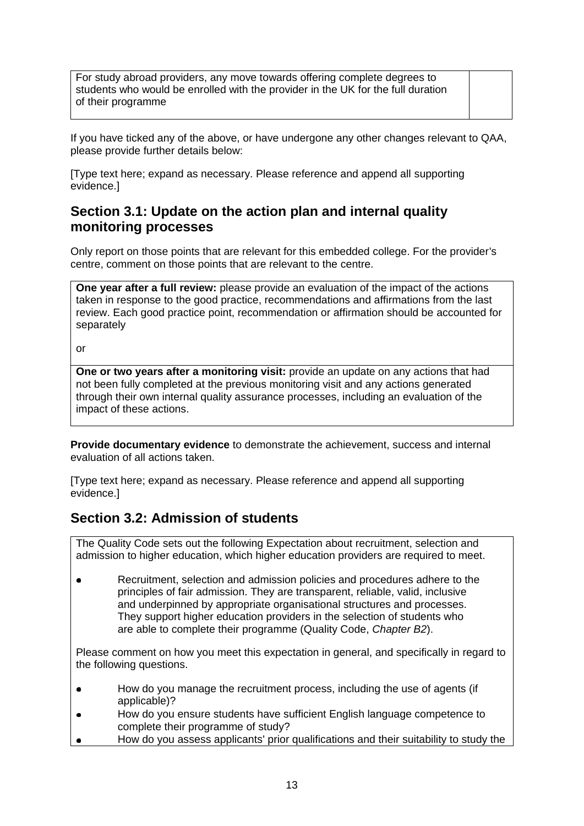For study abroad providers, any move towards offering complete degrees to students who would be enrolled with the provider in the UK for the full duration of their programme

If you have ticked any of the above, or have undergone any other changes relevant to QAA, please provide further details below:

[Type text here; expand as necessary. Please reference and append all supporting evidence.]

#### **Section 3.1: Update on the action plan and internal quality monitoring processes**

Only report on those points that are relevant for this embedded college. For the provider's centre, comment on those points that are relevant to the centre.

**One year after a full review:** please provide an evaluation of the impact of the actions taken in response to the good practice, recommendations and affirmations from the last review. Each good practice point, recommendation or affirmation should be accounted for separately

or

**One or two years after a monitoring visit:** provide an update on any actions that had not been fully completed at the previous monitoring visit and any actions generated through their own internal quality assurance processes, including an evaluation of the impact of these actions.

**Provide documentary evidence** to demonstrate the achievement, success and internal evaluation of all actions taken.

[Type text here; expand as necessary. Please reference and append all supporting evidence.]

#### **Section 3.2: Admission of students**

The Quality Code sets out the following Expectation about recruitment, selection and admission to higher education, which higher education providers are required to meet.

Recruitment, selection and admission policies and procedures adhere to the  $\bullet$ principles of fair admission. They are transparent, reliable, valid, inclusive and underpinned by appropriate organisational structures and processes. They support higher education providers in the selection of students who are able to complete their programme (Quality Code, *Chapter B2*).

Please comment on how you meet this expectation in general, and specifically in regard to the following questions.

- How do you manage the recruitment process, including the use of agents (if  $\bullet$ applicable)?
- How do you ensure students have sufficient English language competence to  $\bullet$ complete their programme of study?
- How do you assess applicants' prior qualifications and their suitability to study the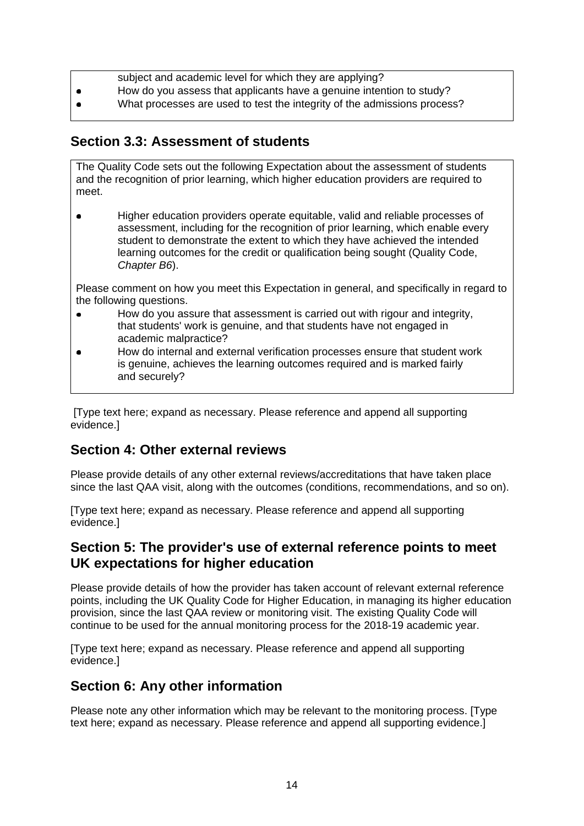- subject and academic level for which they are applying?
- How do you assess that applicants have a genuine intention to study?  $\bullet$
- What processes are used to test the integrity of the admissions process?

#### **Section 3.3: Assessment of students**

The Quality Code sets out the following Expectation about the assessment of students and the recognition of prior learning, which higher education providers are required to meet.

Higher education providers operate equitable, valid and reliable processes of  $\bullet$ assessment, including for the recognition of prior learning, which enable every student to demonstrate the extent to which they have achieved the intended learning outcomes for the credit or qualification being sought (Quality Code, *Chapter B6*).

Please comment on how you meet this Expectation in general, and specifically in regard to the following questions.

- How do you assure that assessment is carried out with rigour and integrity,  $\bullet$ that students' work is genuine, and that students have not engaged in academic malpractice?
- How do internal and external verification processes ensure that student work  $\bullet$ is genuine, achieves the learning outcomes required and is marked fairly and securely?

[Type text here; expand as necessary. Please reference and append all supporting evidence.]

## **Section 4: Other external reviews**

Please provide details of any other external reviews/accreditations that have taken place since the last QAA visit, along with the outcomes (conditions, recommendations, and so on).

[Type text here; expand as necessary. Please reference and append all supporting evidence.]

#### **Section 5: The provider's use of external reference points to meet UK expectations for higher education**

Please provide details of how the provider has taken account of relevant external reference points, including the UK Quality Code for Higher Education, in managing its higher education provision, since the last QAA review or monitoring visit. The existing Quality Code will continue to be used for the annual monitoring process for the 2018-19 academic year.

[Type text here; expand as necessary. Please reference and append all supporting evidence.]

## **Section 6: Any other information**

Please note any other information which may be relevant to the monitoring process. [Type text here; expand as necessary. Please reference and append all supporting evidence.]